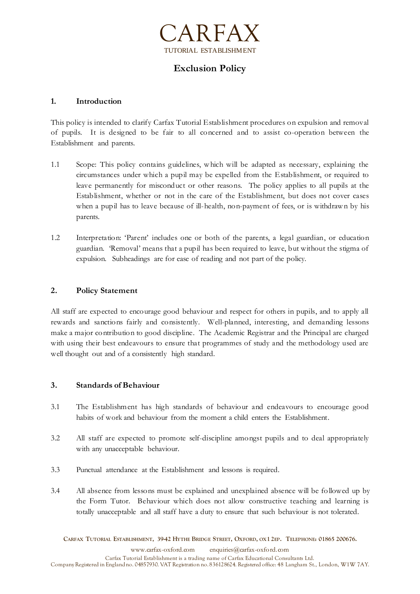

# **Exclusion Policy**

# **1. Introduction**

This policy is intended to clarify Carfax Tutorial Establishment procedures on expulsion and removal of pupils. It is designed to be fair to all concerned and to assist co-operation between the Establishment and parents.

- 1.1 Scope: This policy contains guidelines, w hich will be adapted as necessary, explaining the circumstances under which a pupil may be expelled from the Establishment, or required to leave permanently for misconduct or other reasons. The policy applies to all pupils at the Establishment, whether or not in the care of the Establishment, but does not cover cases when a pupil has to leave because of ill-health, non-payment of fees, or is withdraw n by his parents.
- 1.2 Interpretation: 'Parent' includes one or both of the parents, a legal guardian, or education guardian. 'Removal' means that a pupil has been required to leave, but without the stigma of expulsion. Subheadings are for ease of reading and not part of the policy.

## **2. Policy Statement**

All staff are expected to encourage good behaviour and respect for others in pupils, and to apply all rewards and sanctions fairly and consistently. Well-planned, interesting, and demanding lessons make a major contribution to good discipline. The Academic Registrar and the Principal are charged with using their best endeavours to ensure that programmes of study and the methodology used are well thought out and of a consistently high standard.

#### **3. Standards of Behaviour**

- 3.1 The Establishment has high standards of behaviour and endeavours to encourage good habits of work and behaviour from the moment a child enters the Establishment.
- 3.2 All staff are expected to promote self-discipline amongst pupils and to deal appropriately with any unacceptable behaviour.
- 3.3 Punctual attendance at the Establishment and lessons is required.
- 3.4 All absence from lessons must be explained and unexplained absence will be followed up by the Form Tutor. Behaviour which does not allow constructive teaching and learning is totally unacceptable and all staff have a duty to ensure that such behaviour is not tolerated.

CARFAX TUTORIAL ESTABLISHMENT, 3942 HYTHE BRIDGE STREET, OXFORD, OX12EP. TELEPHONE: 01865 200676. www.carfax-oxford.com enquiries@carfax-oxford.com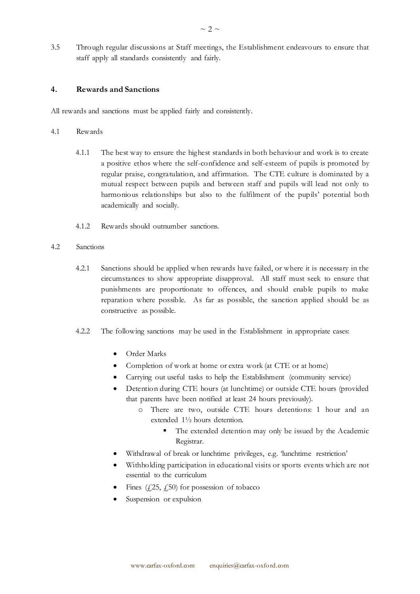3.5 Through regular discussions at Staff meetings, the Establishment endeavours to ensure that staff apply all standards consistently and fairly.

#### **4. Rewards and Sanctions**

All rewards and sanctions must be applied fairly and consistently.

- 4.1 Rewards
	- 4.1.1 The best way to ensure the highest standards in both behaviour and work is to create a positive ethos where the self-confidence and self-esteem of pupils is promoted by regular praise, congratulation, and affirmation. The CTE culture is dominated by a mutual respect between pupils and between staff and pupils will lead not only to harmonious relationships but also to the fulfilment of the pupils' potential both academically and socially.
	- 4.1.2 Rewards should outnumber sanctions.
- 4.2 Sanctions
	- 4.2.1 Sanctions should be applied when rewards have failed, or where it is necessary in the circumstances to show appropriate disapproval. All staff must seek to ensure that punishments are proportionate to offences, and should enable pupils to make reparation where possible. As far as possible, the sanction applied should be as constructive as possible.
	- 4.2.2 The following sanctions may be used in the Establishment in appropriate cases:
		- Order Marks
		- Completion of work at home or extra work (at CTE or at home)
		- Carrying out useful tasks to help the Establishment (community service)
		- Detention during CTE hours (at lunchtime) or outside CTE hours (provided that parents have been notified at least 24 hours previously).
			- o There are two, outside CTE hours detentions: 1 hour and an extended 1½ hours detention.
				- The extended detention may only be issued by the Academic Registrar.
		- Withdrawal of break or lunchtime privileges, e.g. 'lunchtime restriction'
		- Withholding participation in educational visits or sports events which are not essential to the curriculum
		- Fines  $(25, 25)$  for possession of tobacco
		- Suspension or expulsion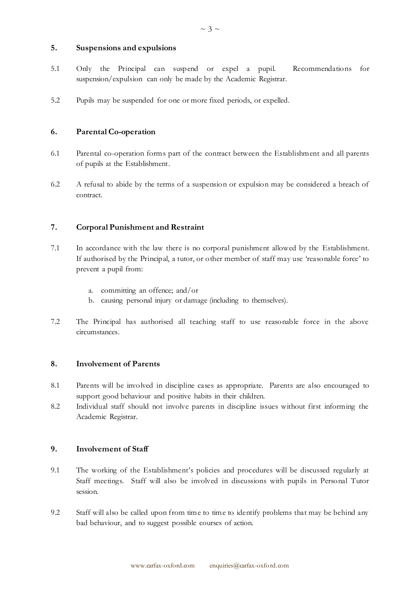#### **5. Suspensions and expulsions**

- 5.1 Only the Principal can suspend or expel a pupil. Recommendations for suspension/expulsion can only be made by the Academic Registrar.
- 5.2 Pupils may be suspended for one or more fixed periods, or expelled.

# **6. Parental Co-operation**

- 6.1 Parental co-operation forms part of the contract between the Establishment and all parents of pupils at the Establishment.
- 6.2 A refusal to abide by the terms of a suspension or expulsion may be considered a breach of contract.

# **7. Corporal Punishment and Restraint**

- 7.1 In accordance with the law there is no corporal punishment allowed by the Establishment. If authorised by the Principal, a tutor, or other member of staff may use 'reasonable force' to prevent a pupil from:
	- a. committing an offence; and/or
	- b. causing personal injury or damage (including to themselves).
- 7.2 The Principal has authorised all teaching staff to use reasonable force in the above circumstances.

#### **8. Involvement of Parents**

- 8.1 Parents will be involved in discipline cases as appropriate. Parents are also encouraged to support good behaviour and positive habits in their children.
- 8.2 Individual staff should not involve parents in discipline issues without first informing the Academic Registrar.

#### **9. Involvement of Staff**

- 9.1 The working of the Establishment's policies and procedures will be discussed regularly at Staff meetings. Staff will also be involved in discussions with pupils in Personal Tutor session.
- 9.2 Staff will also be called upon from time to time to identify problems that may be behind any bad behaviour, and to suggest possible courses of action.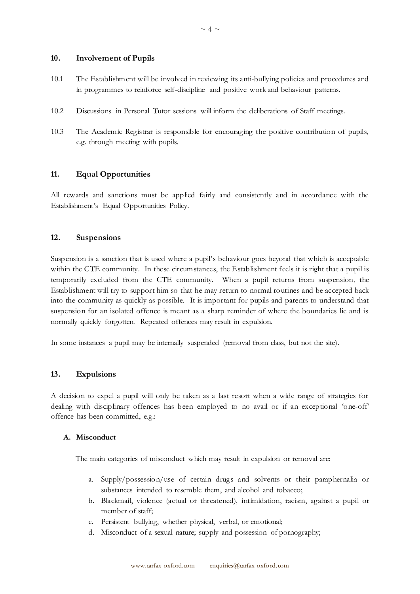#### **10. Involvement of Pupils**

- 10.1 The Establishment will be involved in reviewing its anti-bullying policies and procedures and in programmes to reinforce self-discipline and positive work and behaviour patterns.
- 10.2 Discussions in Personal Tutor sessions will inform the deliberations of Staff meetings.
- 10.3 The Academic Registrar is responsible for encouraging the positive contribution of pupils, e.g. through meeting with pupils.

# **11. Equal Opportunities**

All rewards and sanctions must be applied fairly and consistently and in accordance with the Establishment's Equal Opportunities Policy.

## **12. Suspensions**

Suspension is a sanction that is used where a pupil's behaviour goes beyond that which is acceptable within the CTE community. In these circumstances, the Establishment feels it is right that a pupil is temporarily excluded from the CTE community. When a pupil returns from suspension, the Establishment will try to support him so that he may return to normal routines and be accepted back into the community as quickly as possible. It is important for pupils and parents to understand that suspension for an isolated offence is meant as a sharp reminder of where the boundaries lie and is normally quickly forgotten. Repeated offences may result in expulsion.

In some instances a pupil may be internally suspended (removal from class, but not the site).

#### **13. Expulsions**

A decision to expel a pupil will only be taken as a last resort when a wide range of strategies for dealing with disciplinary offences has been employed to no avail or if an exceptional 'one-off' offence has been committed, e.g.:

#### **A. Misconduct**

The main categories of misconduct which may result in expulsion or removal are:

- a. Supply/possession/use of certain drugs and solvents or their paraphernalia or substances intended to resemble them, and alcohol and tobacco;
- b. Blackmail, violence (actual or threatened), intimidation, racism, against a pupil or member of staff;
- c. Persistent bullying, whether physical, verbal, or emotional;
- d. Misconduct of a sexual nature; supply and possession of pornography;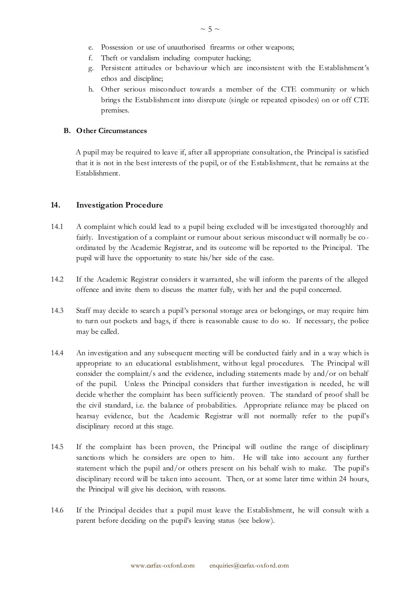- e. Possession or use of unauthorised firearms or other weapons;
- f. Theft or vandalism including computer hacking;
- g. Persistent attitudes or behaviour which are inconsistent with the Establishment's ethos and discipline;
- h. Other serious misconduct towards a member of the CTE community or which brings the Establishment into disrepute (single or repeated episodes) on or off CTE premises.

#### **B. Other Circumstances**

A pupil may be required to leave if, after all appropriate consultation, the Principal is satisfied that it is not in the best interests of the pupil, or of the Establishment, that he remains at the Establishment.

#### **14. Investigation Procedure**

- 14.1 A complaint which could lead to a pupil being excluded will be investigated thoroughly and fairly. Investigation of a complaint or rumour about serious misconduct will normally be coordinated by the Academic Registrar, and its outcome will be reported to the Principal. The pupil will have the opportunity to state his/her side of the case.
- 14.2 If the Academic Registrar considers it warranted, she will inform the parents of the alleged offence and invite them to discuss the matter fully, with her and the pupil concerned.
- 14.3 Staff may decide to search a pupil's personal storage area or belongings, or may require him to turn out pockets and bags, if there is reasonable cause to do so. If necessary, the police may be called.
- 14.4 An investigation and any subsequent meeting will be conducted fairly and in a way which is appropriate to an educational establishment, without legal procedures. The Principal will consider the complaint/s and the evidence, including statements made by and/or on behalf of the pupil. Unless the Principal considers that further investigation is needed, he will decide whether the complaint has been sufficiently proven. The standard of proof shall be the civil standard, i.e. the balance of probabilities. Appropriate reliance may be placed on hearsay evidence, but the Academic Registrar will not normally refer to the pupil's disciplinary record at this stage.
- 14.5 If the complaint has been proven, the Principal will outline the range of disciplinary sanctions which he considers are open to him. He will take into account any further statement which the pupil and/or others present on his behalf wish to make. The pupil's disciplinary record will be taken into account. Then, or at some later time within 24 hours, the Principal will give his decision, with reasons.
- 14.6 If the Principal decides that a pupil must leave the Establishment, he will consult with a parent before deciding on the pupil's leaving status (see below).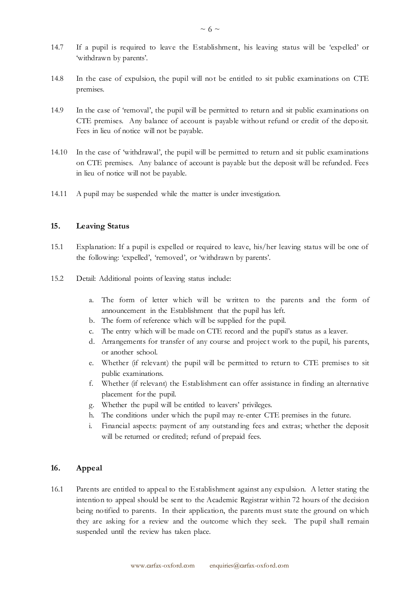- 14.7 If a pupil is required to leave the Establishment, his leaving status will be 'expelled' or 'withdrawn by parents'.
- 14.8 In the case of expulsion, the pupil will not be entitled to sit public examinations on CTE premises.
- 14.9 In the case of 'removal', the pupil will be permitted to return and sit public examinations on CTE premises. Any balance of account is payable without refund or credit of the deposit. Fees in lieu of notice will not be payable.
- 14.10 In the case of 'withdrawal', the pupil will be permitted to return and sit public examinations on CTE premises. Any balance of account is payable but the deposit will be refunded. Fees in lieu of notice will not be payable.
- 14.11 A pupil may be suspended while the matter is under investigation.

#### **15. Leaving Status**

- 15.1 Explanation: If a pupil is expelled or required to leave, his/her leaving status will be one of the following: 'expelled', 'removed', or 'withdrawn by parents'.
- 15.2 Detail: Additional points of leaving status include:
	- a. The form of letter which will be written to the parents and the form of announcement in the Establishment that the pupil has left.
	- b. The form of reference which will be supplied for the pupil.
	- c. The entry which will be made on CTE record and the pupil's status as a leaver.
	- d. Arrangements for transfer of any course and projec t work to the pupil, his parents, or another school.
	- e. Whether (if relevant) the pupil will be permitted to return to CTE premises to sit public examinations.
	- f. Whether (if relevant) the Establishment can offer assistance in finding an alternative placement for the pupil.
	- g. Whether the pupil will be entitled to leavers' privileges.
	- h. The conditions under which the pupil may re-enter CTE premises in the future.
	- i. Financial aspects: payment of any outstand ing fees and extras; whether the deposit will be returned or credited; refund of prepaid fees.

# **16. Appeal**

16.1 Parents are entitled to appeal to the Establishment against any expulsion. A letter stating the intention to appeal should be sent to the Academic Registrar within 72 hours of the decision being notified to parents. In their application, the parents must state the ground on which they are asking for a review and the outcome which they seek. The pupil shall remain suspended until the review has taken place.